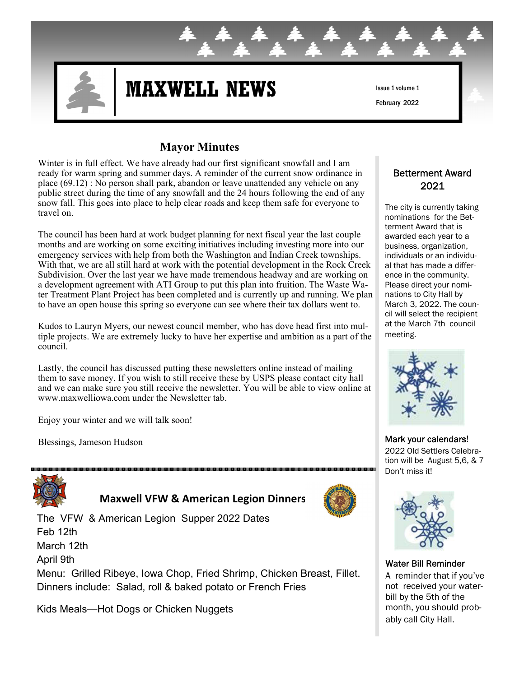

# **MAXWELL NEWS**

Issue 1 volume 1 February 2022

## **Mayor Minutes**

Winter is in full effect. We have already had our first significant snowfall and I am ready for warm spring and summer days. A reminder of the current snow ordinance in place (69.12) : No person shall park, abandon or leave unattended any vehicle on any public street during the time of any snowfall and the 24 hours following the end of any snow fall. This goes into place to help clear roads and keep them safe for everyone to travel on.

The council has been hard at work budget planning for next fiscal year the last couple months and are working on some exciting initiatives including investing more into our emergency services with help from both the Washington and Indian Creek townships. With that, we are all still hard at work with the potential development in the Rock Creek Subdivision. Over the last year we have made tremendous headway and are working on a development agreement with ATI Group to put this plan into fruition. The Waste Water Treatment Plant Project has been completed and is currently up and running. We plan to have an open house this spring so everyone can see where their tax dollars went to.

Kudos to Lauryn Myers, our newest council member, who has dove head first into multiple projects. We are extremely lucky to have her expertise and ambition as a part of the council.

Lastly, the council has discussed putting these newsletters online instead of mailing them to save money. If you wish to still receive these by USPS please contact city hall and we can make sure you still receive the newsletter. You will be able to view online at www.maxwelliowa.com under the Newsletter tab.

Enjoy your winter and we will talk soon!

Blessings, Jameson Hudson



 **Maxwell VFW & American Legion Dinners**

The VFW & American Legion Supper 2022 Dates Feb 12th March 12th April 9th

Menu: Grilled Ribeye, Iowa Chop, Fried Shrimp, Chicken Breast, Fillet. Dinners include: Salad, roll & baked potato or French Fries

Kids Meals—Hot Dogs or Chicken Nuggets



#### Betterment Award 2021

The city is currently taking nominations for the Betterment Award that is awarded each year to a business, organization, individuals or an individual that has made a difference in the community. Please direct your nominations to City Hall by March 3, 2022. The council will select the recipient at the March 7th council meeting.



Mark your calendars! 2022 Old Settlers Celebration will be August 5,6, & 7 Don't miss it!



#### Water Bill Reminder

A reminder that if you've not received your waterbill by the 5th of the month, you should probably call City Hall.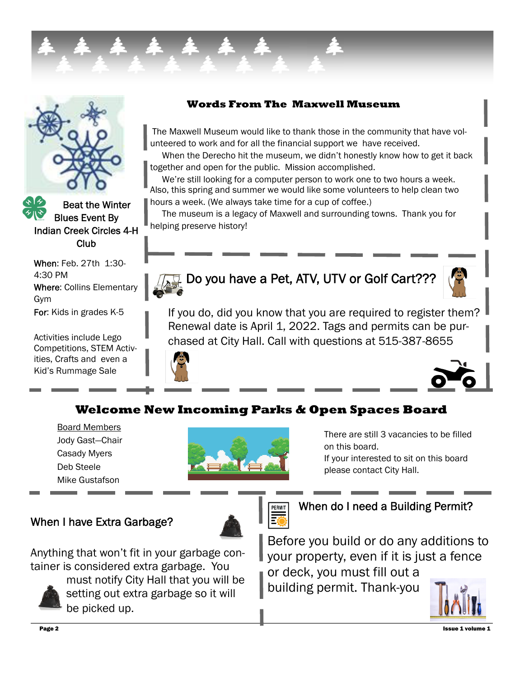

 Beat the Winter Blues Event By Indian Creek Circles 4-H Club

When: Feb. 27th 1:30- 4:30 PM Where: Collins Elementary Gym For: Kids in grades K-5

Activities include Lego Competitions, STEM Activities, Crafts and even a Kid's Rummage Sale

### **Words From The Maxwell Museum**

The Maxwell Museum would like to thank those in the community that have volunteered to work and for all the financial support we have received.

 When the Derecho hit the museum, we didn't honestly know how to get it back together and open for the public. Mission accomplished.

 We're still looking for a computer person to work one to two hours a week. Also, this spring and summer we would like some volunteers to help clean two hours a week. (We always take time for a cup of coffee.)

 The museum is a legacy of Maxwell and surrounding towns. Thank you for helping preserve history!



## **Do you have a Pet, ATV, UTV or Golf Cart???**



If you do, did you know that you are required to register them? Renewal date is April 1, 2022. Tags and permits can be purchased at City Hall. Call with questions at 515-387-8655





## **Welcome New Incoming Parks & Open Spaces Board**

Board Members Jody Gast—Chair Casady Myers Deb Steele Mike Gustafson

When I have Extra Garbage?



There are still 3 vacancies to be filled on this board.

If your interested to sit on this board please contact City Hall.



When do I need a Building Permit?

Anything that won't fit in your garbage container is considered extra garbage. You



must notify City Hall that you will be setting out extra garbage so it will be picked up.

Before you build or do any additions to your property, even if it is just a fence or deck, you must fill out a building permit. Thank-you

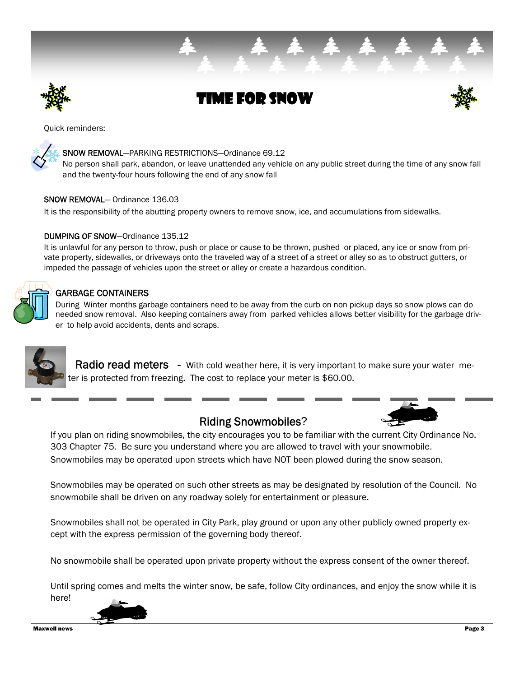

Time for Snow





#### SNOW REMOVAL—PARKING RESTRICTIONS—Ordinance 69.12

No person shall park, abandon, or leave unattended any vehicle on any public street during the time of any snow fall and the twenty-four hours following the end of any snow fall

#### SNOW REMOVAL— Ordinance 136.03

It is the responsibility of the abutting property owners to remove snow, ice, and accumulations from sidewalks.

#### DUMPING OF SNOW—Ordinance 135.12

It is unlawful for any person to throw, push or place or cause to be thrown, pushed or placed, any ice or snow from private property, sidewalks, or driveways onto the traveled way of a street of a street or alley so as to obstruct gutters, or impeded the passage of vehicles upon the street or alley or create a hazardous condition.

## GARBAGE CONTAINERS

During Winter months garbage containers need to be away from the curb on non pickup days so snow plows can do needed snow removal. Also keeping containers away from parked vehicles allows better visibility for the garbage driver to help avoid accidents, dents and scraps.



Radio read meters - With cold weather here, it is very important to make sure your water meter is protected from freezing. The cost to replace your meter is \$60.00.

## Riding Snowmobiles?



If you plan on riding snowmobiles, the city encourages you to be familiar with the current City Ordinance No. 303 Chapter 75. Be sure you understand where you are allowed to travel with your snowmobile. Snowmobiles may be operated upon streets which have NOT been plowed during the snow season.

Snowmobiles may be operated on such other streets as may be designated by resolution of the Council. No snowmobile shall be driven on any roadway solely for entertainment or pleasure.

Snowmobiles shall not be operated in City Park, play ground or upon any other publicly owned property except with the express permission of the governing body thereof.

No snowmobile shall be operated upon private property without the express consent of the owner thereof.

Until spring comes and melts the winter snow, be safe, follow City ordinances, and enjoy the snow while it is here!